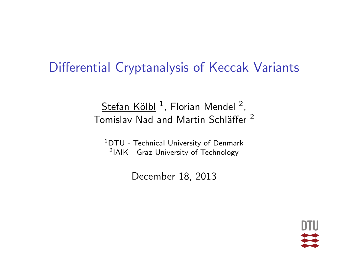#### Differential Cryptanalysis of Keccak Variants

#### <u>Stefan Kölbl</u> <sup>1</sup>, Florian Mendel <sup>2</sup>, Tomislav Nad and Martin Schläffer<sup>2</sup>

<sup>1</sup>DTU - Technical University of Denmark 2 IAIK - Graz University of Technology

December 18, 2013

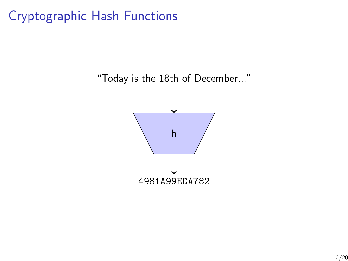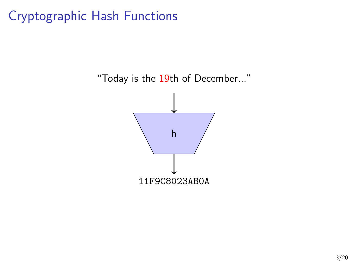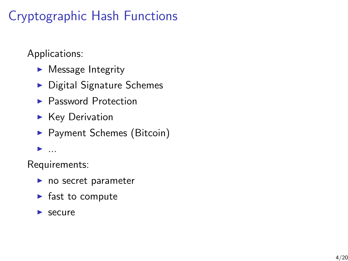Applications:

- $\blacktriangleright$  Message Integrity
- $\blacktriangleright$  Digital Signature Schemes
- **Password Protection**
- $\blacktriangleright$  Key Derivation
- $\blacktriangleright$  Payment Schemes (Bitcoin)

 $\blacktriangleright$  ...

Requirements:

- $\blacktriangleright$  no secret parameter
- $\blacktriangleright$  fast to compute
- $\blacktriangleright$  secure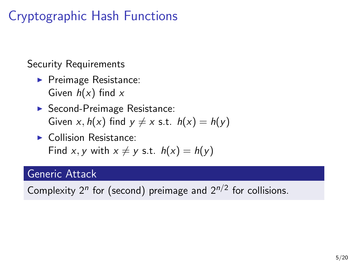Security Requirements

- $\blacktriangleright$  Preimage Resistance: Given  $h(x)$  find x
- ▶ Second-Preimage Resistance: Given x,  $h(x)$  find  $y \neq x$  s.t.  $h(x) = h(y)$
- $\blacktriangleright$  Collision Resistance: Find x, y with  $x \neq y$  s.t.  $h(x) = h(y)$

#### Generic Attack

Complexity  $2^n$  for (second) preimage and  $2^{n/2}$  for collisions.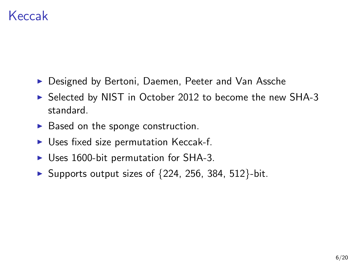#### Keccak

- ▶ Designed by Bertoni, Daemen, Peeter and Van Assche
- ▶ Selected by NIST in October 2012 to become the new SHA-3 standard.
- $\triangleright$  Based on the sponge construction.
- $\triangleright$  Uses fixed size permutation Keccak-f.
- $\triangleright$  Uses 1600-bit permutation for SHA-3.
- Supports output sizes of  $\{224, 256, 384, 512\}$ -bit.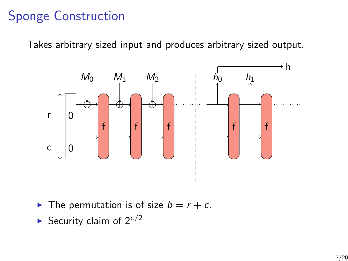## Sponge Construction

Takes arbitrary sized input and produces arbitrary sized output.



- In The permutation is of size  $b = r + c$ .
- Security claim of  $2^{c/2}$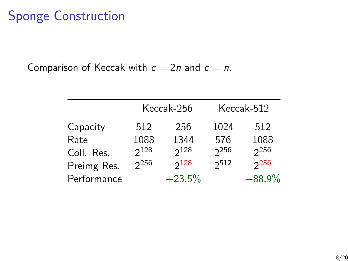#### Sponge Construction

Comparison of Keccak with  $c = 2n$  and  $c = n$ .

|             | Keccak-256 |           | Keccak-512 |          |
|-------------|------------|-----------|------------|----------|
| Capacity    | 512        | 256       | 1024       | 512      |
| Rate        | 1088       | 1344      | 576        | 1088     |
| Coll. Res.  | 2128       | $2^{128}$ | 256        | 2256     |
| Preimg Res. | $2^{256}$  | $2^{128}$ | $2^{512}$  | 2256     |
| Performance |            | $+23.5%$  |            | $+88.9%$ |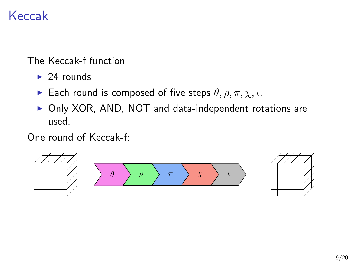# Keccak

The Keccak-f function

- $\triangleright$  24 rounds
- Each round is composed of five steps  $\theta$ ,  $\rho$ ,  $\pi$ ,  $\chi$ ,  $\iota$ .
- ▶ Only XOR, AND, NOT and data-independent rotations are used.

One round of Keccak-f:

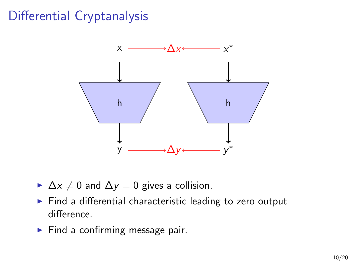# Differential Cryptanalysis



- $\Delta x \neq 0$  and  $\Delta y = 0$  gives a collision.
- $\blacktriangleright$  Find a differential characteristic leading to zero output difference.
- $\blacktriangleright$  Find a confirming message pair.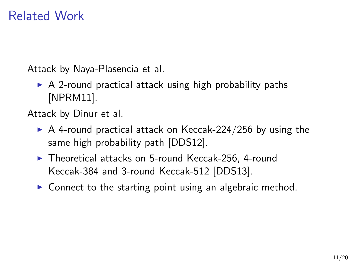#### Related Work

Attack by Naya-Plasencia et al.

 $\triangleright$  A 2-round practical attack using high probability paths [\[NPRM11\]](#page-21-0).

Attack by Dinur et al.

- $\triangleright$  A 4-round practical attack on Keccak-224/256 by using the same high probability path [\[DDS12\]](#page-20-0).
- $\triangleright$  Theoretical attacks on 5-round Keccak-256, 4-round Keccak-384 and 3-round Keccak-512 [\[DDS13\]](#page-20-1).
- $\triangleright$  Connect to the starting point using an algebraic method.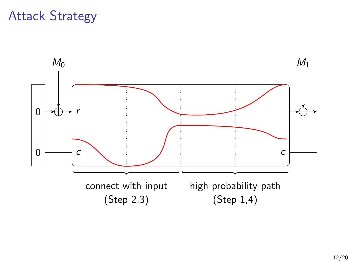#### Attack Strategy

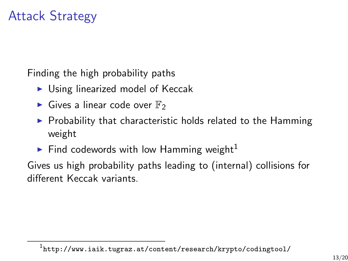### Attack Strategy

Finding the high probability paths

- $\triangleright$  Using linearized model of Keccak
- $\blacktriangleright$  Gives a linear code over  $\mathbb{F}_2$
- $\triangleright$  Probability that characteristic holds related to the Hamming weight
- Find codewords with low Hamming weight<sup>1</sup>

Gives us high probability paths leading to (internal) collisions for different Keccak variants.

 $^{\rm 1}$ <http://www.iaik.tugraz.at/content/research/krypto/codingtool/>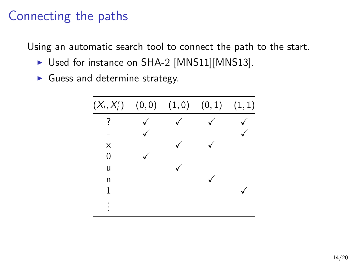#### Connecting the paths

Using an automatic search tool to connect the path to the start.

- ▶ Used for instance on SHA-2 [\[MNS11\]](#page-21-1)[\[MNS13\]](#page-21-2).
- $\blacktriangleright$  Guess and determine strategy.

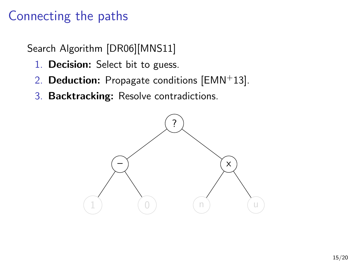#### Connecting the paths

Search Algorithm [\[DR06\]](#page-20-2)[\[MNS11\]](#page-21-1)

- 1. Decision: Select bit to guess.
- 2. **Deduction:** Propagate conditions  $[EMN+13]$  $[EMN+13]$ .
- 3. Backtracking: Resolve contradictions.

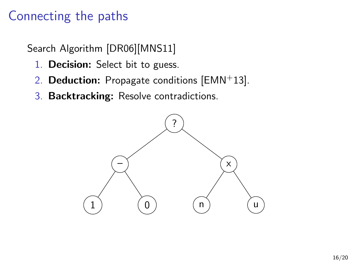#### Connecting the paths

Search Algorithm [\[DR06\]](#page-20-2)[\[MNS11\]](#page-21-1)

- 1. Decision: Select bit to guess.
- 2. **Deduction:** Propagate conditions  $[EMN+13]$  $[EMN+13]$ .
- 3. Backtracking: Resolve contradictions.

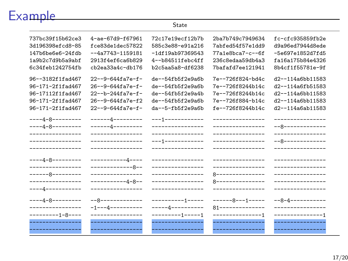# Example

|                  |                               | State            |                  |                              |
|------------------|-------------------------------|------------------|------------------|------------------------------|
| 737bc39f15b62ce3 | 4-ae-67d9-f67961              | 72c17e19ecf12b7b | 2ba7b749c7949634 | fc-cfc935859fb2e             |
| 3d196398efcd8-85 | fce83de1dec57822              | 585c3e88-e91a216 | 7abfed54f57e1dd9 | d9a96ed7944d8ede             |
| 147b6be6e6-24fdb | $-4a7743-1159181$             | -1df19ab97369543 | 77a1e8bca7-c--6f | -5e697e1852d7fd5             |
| 1a9b2c7d9b5a9abf | 2913f4ef6ca6b829              | 4--b84511febc4ff | 236c8edaa59db4a3 | fa16a175b84e4326             |
| 6c34feb1242754fb | cb2ea33a4c-db176              | b2c5aa5a8-df6238 | 7bafafd7ee121941 | 8b4cf1f55781e-9f             |
| 96--3182f1fad467 | 22--9-644fa7e-f-              | de--54fb5f2e9a6b | 7e--726f824-bd4c | d2--114a6bb11583             |
| 96-171-2f1fad467 | 26--9-644fa7e-f-              | de--54fb5f2e9a6b | 7e--726f8244b14c | d2--114a6fb51583             |
| 96-17112f1fad467 | 22--b-244fa7e-f-              | de--54fb5f2e9a4b | 7e--726f8244b14c | d2--114a6bb11583             |
| 96-171-2f1fad467 | 26--9-644fa7e-f2              | de--54fb5f2e9a6b | 7e--726f884-b14c | d2--114a6bb11583             |
| 96-171-2f1fad467 | 22--9-644fa7e-f-              | da--5-fb5f2e9a6b | fe--726f8244b14c | d2--114a6ab11583             |
| ----4-8--------- | ------4---------              | ---1------------ | ---------------- | --------------               |
| ----4-8--------- | ------4---------              | ---------------- | ---------------- | $-$ -8-------------          |
| ---------------- | ----------------              | ---------------- | ---------------- | ----------------             |
| ---------------- | ----------------              | ---1------------ | ---------------- | --8-------------             |
| ________________ | _______________               | ________________ | ---------------- | ----------------             |
| ----4-8--------- | -----------4----              | ---------------- | ---------------- | ----------------             |
| ---------------- | -------------8--              | ---------------- | _______________  | ________________             |
| ------8--------- | ----------------              | ---------------- | 8--------------- | ----------------             |
| ---------------- | $---------4-8--$              | ---------------- | 8--------------- | _______________              |
| ----4----------- | ----------------              | ---------------  | ---------------- | ----------------             |
| ----4-8--------- | --8-------------              | ----------1----- | $---8---1----$   | $- -8 - 4 - - - - - - - - -$ |
| ---------------- | $-1 - -4 - - - - - - - - - -$ | -----4---------- | 81-------------- | ----------------             |
| $------1-8---$   | ----------------              | ---------1-----1 | ---------------1 | ---------------1             |
| ________________ | ---------------               |                  | ________________ |                              |
| ---------------  | ---------------               | ---------------  | _______________  | ----------------             |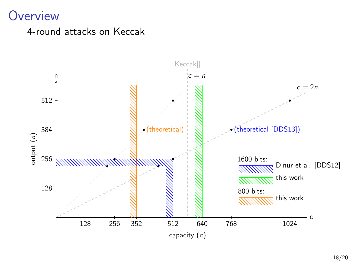#### **Overview**

#### 4-round attacks on Keccak

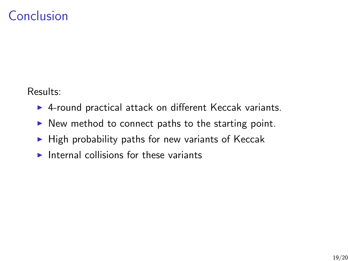#### Conclusion

Results:

- $\triangleright$  4-round practical attack on different Keccak variants.
- $\triangleright$  New method to connect paths to the starting point.
- $\blacktriangleright$  High probability paths for new variants of Keccak
- $\blacktriangleright$  Internal collisions for these variants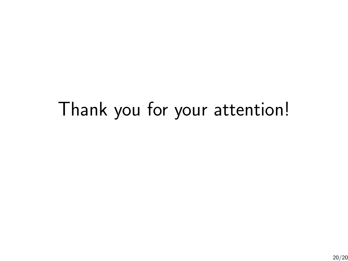# Thank you for your attention!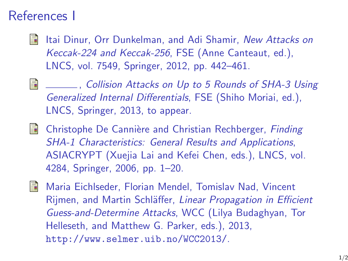#### References I

- <span id="page-20-0"></span>畐 Itai Dinur, Orr Dunkelman, and Adi Shamir, New Attacks on Keccak-224 and Keccak-256, FSE (Anne Canteaut, ed.), LNCS, vol. 7549, Springer, 2012, pp. 442–461.
- <span id="page-20-1"></span>Ħ , Collision Attacks on Up to 5 Rounds of SHA-3 Using Generalized Internal Differentials, FSE (Shiho Moriai, ed.), LNCS, Springer, 2013, to appear.
- <span id="page-20-2"></span>**F** Christophe De Cannière and Christian Rechberger, Finding SHA-1 Characteristics: General Results and Applications, ASIACRYPT (Xuejia Lai and Kefei Chen, eds.), LNCS, vol. 4284, Springer, 2006, pp. 1–20.
- <span id="page-20-3"></span>Maria Eichlseder, Florian Mendel, Tomislav Nad, Vincent 冒 Rijmen, and Martin Schläffer, Linear Propagation in Efficient Guess-and-Determine Attacks, WCC (Lilya Budaghyan, Tor Helleseth, and Matthew G. Parker, eds.), 2013, <http://www.selmer.uib.no/WCC2013/>.